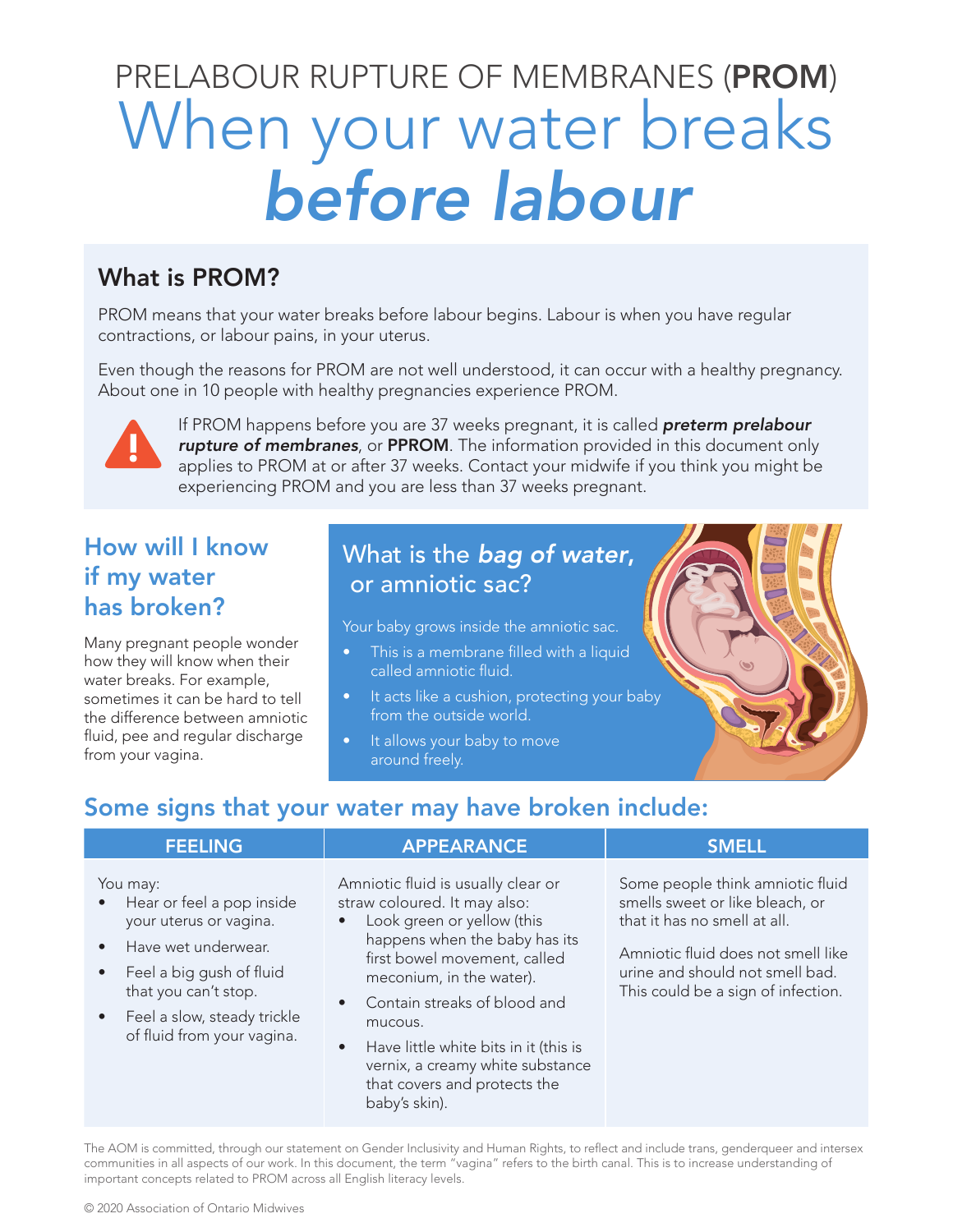# When your water breaks *before labour* PRELABOUR RUPTURE OF MEMBRANES (PROM)

# What is PROM?

PROM means that your water breaks before labour begins. Labour is when you have regular contractions, or labour pains, in your uterus.

Even though the reasons for PROM are not well understood, it can occur with a healthy pregnancy. About one in 10 people with healthy pregnancies experience PROM.



If PROM happens before you are 37 weeks pregnant, it is called *preterm prelabour rupture of membranes*, or PPROM. The information provided in this document only applies to PROM at or after 37 weeks. Contact your midwife if you think you might be experiencing PROM and you are less than 37 weeks pregnant.

# How will I know if my water has broken?

Many pregnant people wonder how they will know when their water breaks. For example, sometimes it can be hard to tell the difference between amniotic fluid, pee and regular discharge from your vagina.

# What is the *bag of water*, or amniotic sac?

Your baby grows inside the amniotic sac.

- This is a membrane filled with a liquid called amniotic fluid.
- It acts like a cushion, protecting your baby from the outside world.
- It allows your baby to move around freely.

# Some signs that your water may have broken include:

baby's skin).

| <b>FEELING</b>                                                                                                                                                                                                                      | <b>APPEARANCE</b>                                                                                                                                                                                                                                                                                                                                                                            | <b>SMELL</b>                                                                                                                                                                                                       |
|-------------------------------------------------------------------------------------------------------------------------------------------------------------------------------------------------------------------------------------|----------------------------------------------------------------------------------------------------------------------------------------------------------------------------------------------------------------------------------------------------------------------------------------------------------------------------------------------------------------------------------------------|--------------------------------------------------------------------------------------------------------------------------------------------------------------------------------------------------------------------|
| You may:<br>Hear or feel a pop inside<br>$\bullet$<br>your uterus or vagina.<br>Have wet underwear.<br>Feel a big gush of fluid<br>$\bullet$<br>that you can't stop.<br>• Feel a slow, steady trickle<br>of fluid from your vagina. | Amniotic fluid is usually clear or<br>straw coloured. It may also:<br>Look green or yellow (this<br>$\bullet$<br>happens when the baby has its<br>first bowel movement, called<br>meconium, in the water).<br>Contain streaks of blood and<br>$\bullet$<br>mucous.<br>Have little white bits in it (this is<br>$\bullet$<br>vernix, a creamy white substance<br>that covers and protects the | Some people think amniotic fluid<br>smells sweet or like bleach, or<br>that it has no smell at all.<br>Amniotic fluid does not smell like<br>urine and should not smell bad.<br>This could be a sign of infection. |

The AOM is committed, through our statement on Gender Inclusivity and Human Rights, to reflect and include trans, genderqueer and intersex communities in all aspects of our work. In this document, the term "vagina" refers to the birth canal. This is to increase understanding of important concepts related to PROM across all English literacy levels.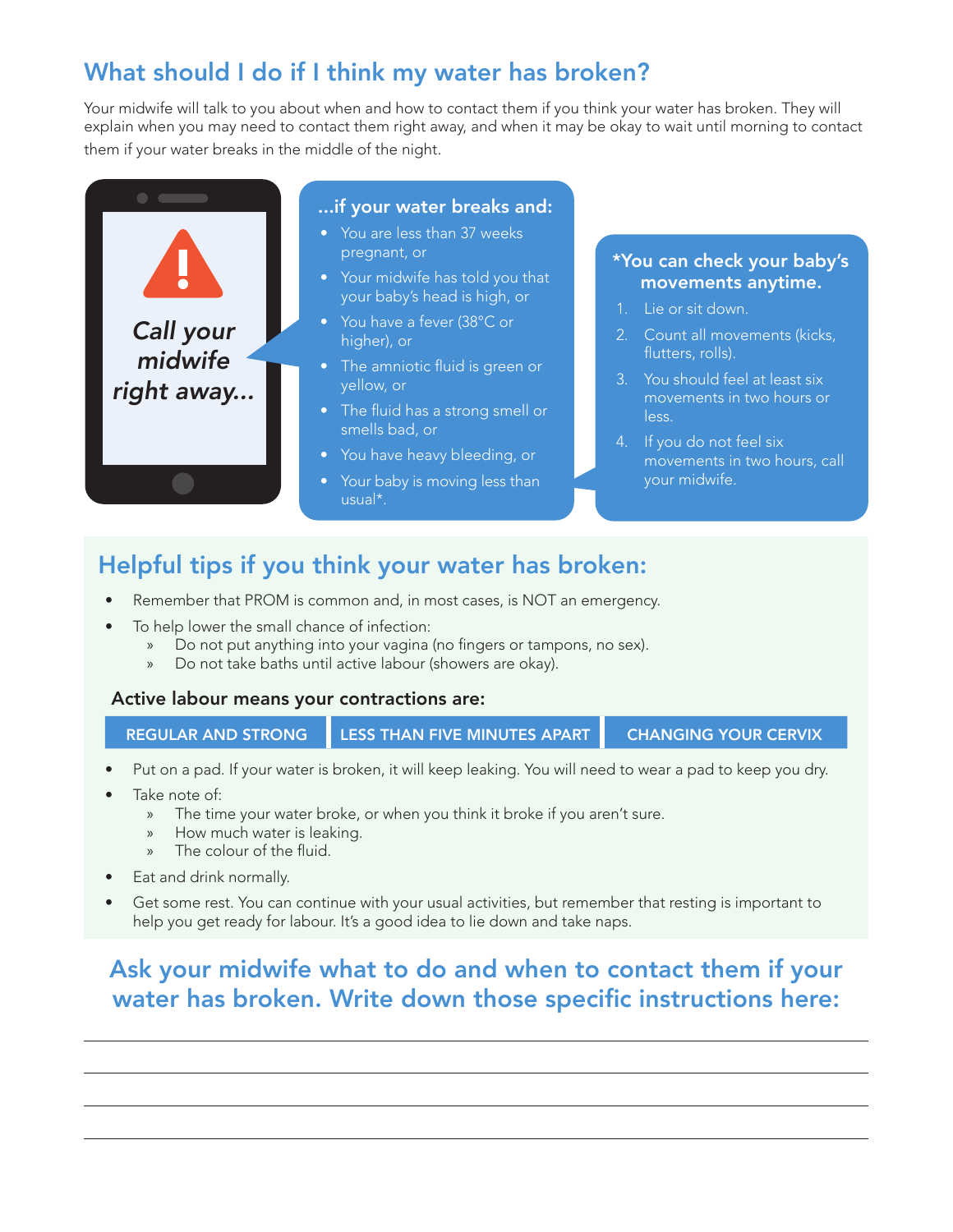# What should I do if I think my water has broken?

Your midwife will talk to you about when and how to contact them if you think your water has broken. They will explain when you may need to contact them right away, and when it may be okay to wait until morning to contact them if your water breaks in the middle of the night.



# Helpful tips if you think your water has broken:

- Remember that PROM is common and, in most cases, is NOT an emergency.
- To help lower the small chance of infection:
	- » Do not put anything into your vagina (no fingers or tampons, no sex).
	- » Do not take baths until active labour (showers are okay).

#### Active labour means your contractions are:

REGULAR AND STRONG LESS THAN FIVE MINUTES APART CHANGING YOUR CERVIX

- Put on a pad. If your water is broken, it will keep leaking. You will need to wear a pad to keep you dry.
- Take note of:
	- » The time your water broke, or when you think it broke if you aren't sure.
	- » How much water is leaking.
	- The colour of the fluid.
- Eat and drink normally.
- Get some rest. You can continue with your usual activities, but remember that resting is important to help you get ready for labour. It's a good idea to lie down and take naps.

# Ask your midwife what to do and when to contact them if your water has broken. Write down those specific instructions here: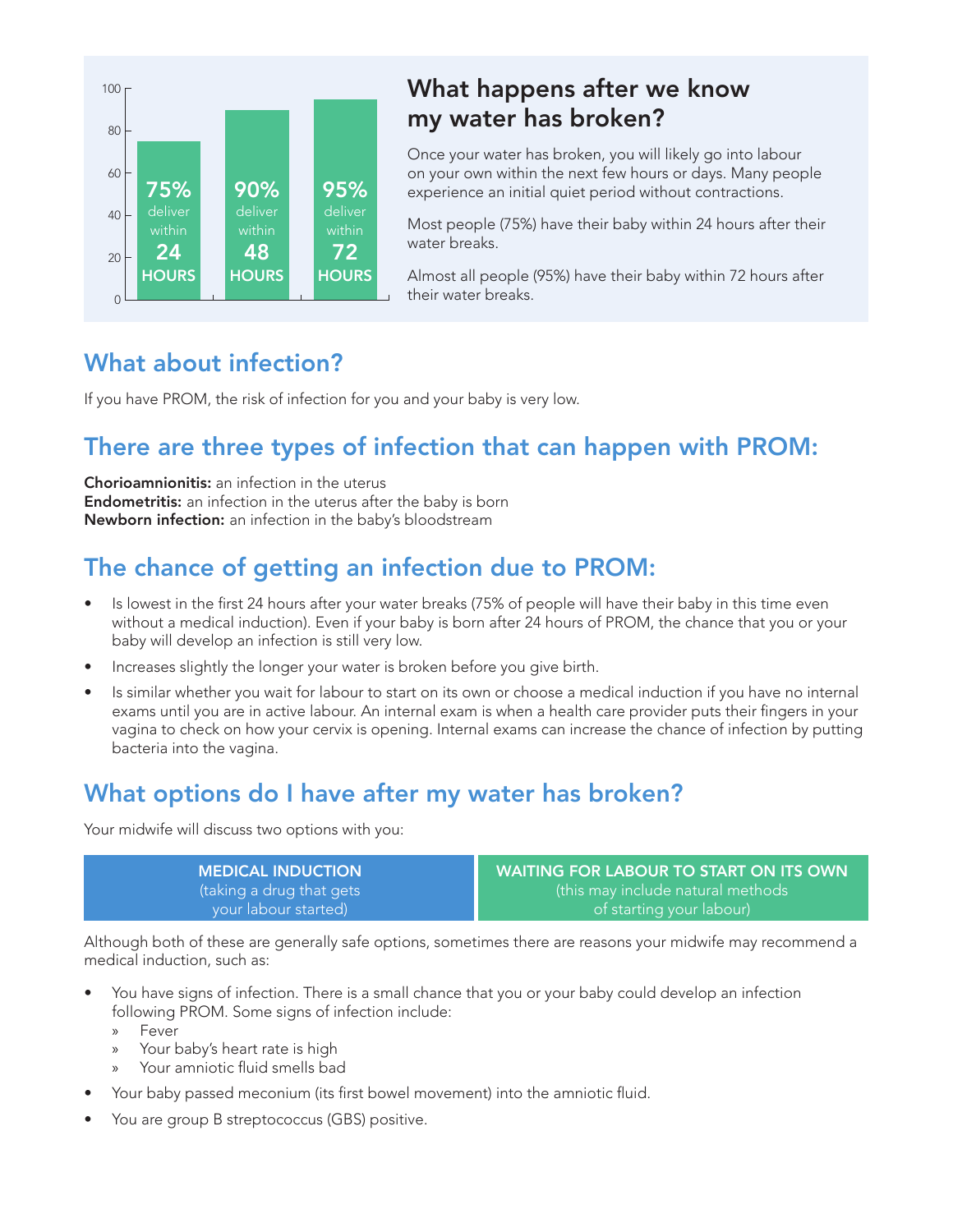

#### What happens after we know my water has broken?

Once your water has broken, you will likely go into labour on your own within the next few hours or days. Many people experience an initial quiet period without contractions.

Most people (75%) have their baby within 24 hours after their water breaks.

Almost all people (95%) have their baby within 72 hours after their water breaks.

#### What about infection?

If you have PROM, the risk of infection for you and your baby is very low.

# There are three types of infection that can happen with PROM:

Chorioamnionitis: an infection in the uterus Endometritis: an infection in the uterus after the baby is born Newborn infection: an infection in the baby's bloodstream

# The chance of getting an infection due to PROM:

- Is lowest in the first 24 hours after your water breaks (75% of people will have their baby in this time even without a medical induction). Even if your baby is born after 24 hours of PROM, the chance that you or your baby will develop an infection is still very low.
- Increases slightly the longer your water is broken before you give birth.
- Is similar whether you wait for labour to start on its own or choose a medical induction if you have no internal exams until you are in active labour. An internal exam is when a health care provider puts their fingers in your vagina to check on how your cervix is opening. Internal exams can increase the chance of infection by putting bacteria into the vagina.

# What options do I have after my water has broken?

Your midwife will discuss two options with you:

MEDICAL INDUCTION (taking a drug that gets your labour started)

WAITING FOR LABOUR TO START ON ITS OWN (this may include natural methods of starting your labour)

Although both of these are generally safe options, sometimes there are reasons your midwife may recommend a medical induction, such as:

- You have signs of infection. There is a small chance that you or your baby could develop an infection following PROM. Some signs of infection include:
	- » Fever
	- » Your baby's heart rate is high
	- » Your amniotic fluid smells bad
- Your baby passed meconium (its first bowel movement) into the amniotic fluid.
- You are group B streptococcus (GBS) positive.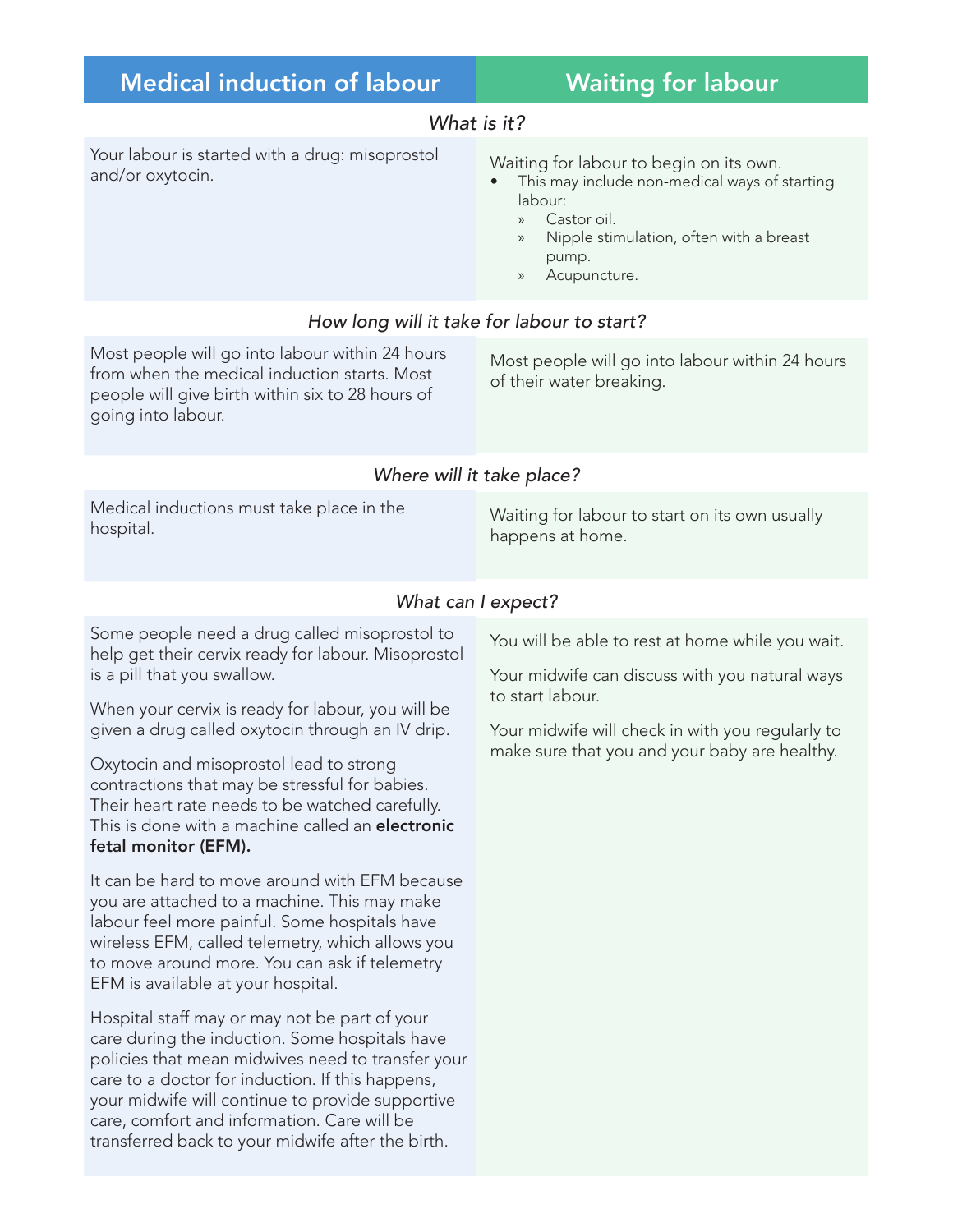# Medical induction of labour **Waiting for labour**

#### *What is it?*

Your labour is started with a drug: misoprostol rour labour is started with a drug: misoprostol waiting for labour to begin on its own.<br>and/or oxytocin.

- This may include non-medical ways of starting labour:
	- » Castor oil.
	- » Nipple stimulation, often with a breast pump.
	- » Acupuncture.

#### *How long will it take for labour to start?*

Most people will go into labour within 24 hours from when the medical induction starts. Most people will give birth within six to 28 hours of going into labour.

Most people will go into labour within 24 hours of their water breaking.

#### *Where will it take place?*

Medical inductions must take place in the

Iviedical inductions must take place in the waiting for labour to start on its own usually<br>hospital. happens at home.

#### *What can I expect?*

Some people need a drug called misoprostol to help get their cervix ready for labour. Misoprostol is a pill that you swallow.

When your cervix is ready for labour, you will be given a drug called oxytocin through an IV drip.

Oxytocin and misoprostol lead to strong contractions that may be stressful for babies. Their heart rate needs to be watched carefully. This is done with a machine called an electronic fetal monitor (EFM).

It can be hard to move around with EFM because you are attached to a machine. This may make labour feel more painful. Some hospitals have wireless EFM, called telemetry, which allows you to move around more. You can ask if telemetry EFM is available at your hospital.

Hospital staff may or may not be part of your care during the induction. Some hospitals have policies that mean midwives need to transfer your care to a doctor for induction. If this happens, your midwife will continue to provide supportive care, comfort and information. Care will be transferred back to your midwife after the birth.

You will be able to rest at home while you wait.

Your midwife can discuss with you natural ways to start labour.

Your midwife will check in with you regularly to make sure that you and your baby are healthy.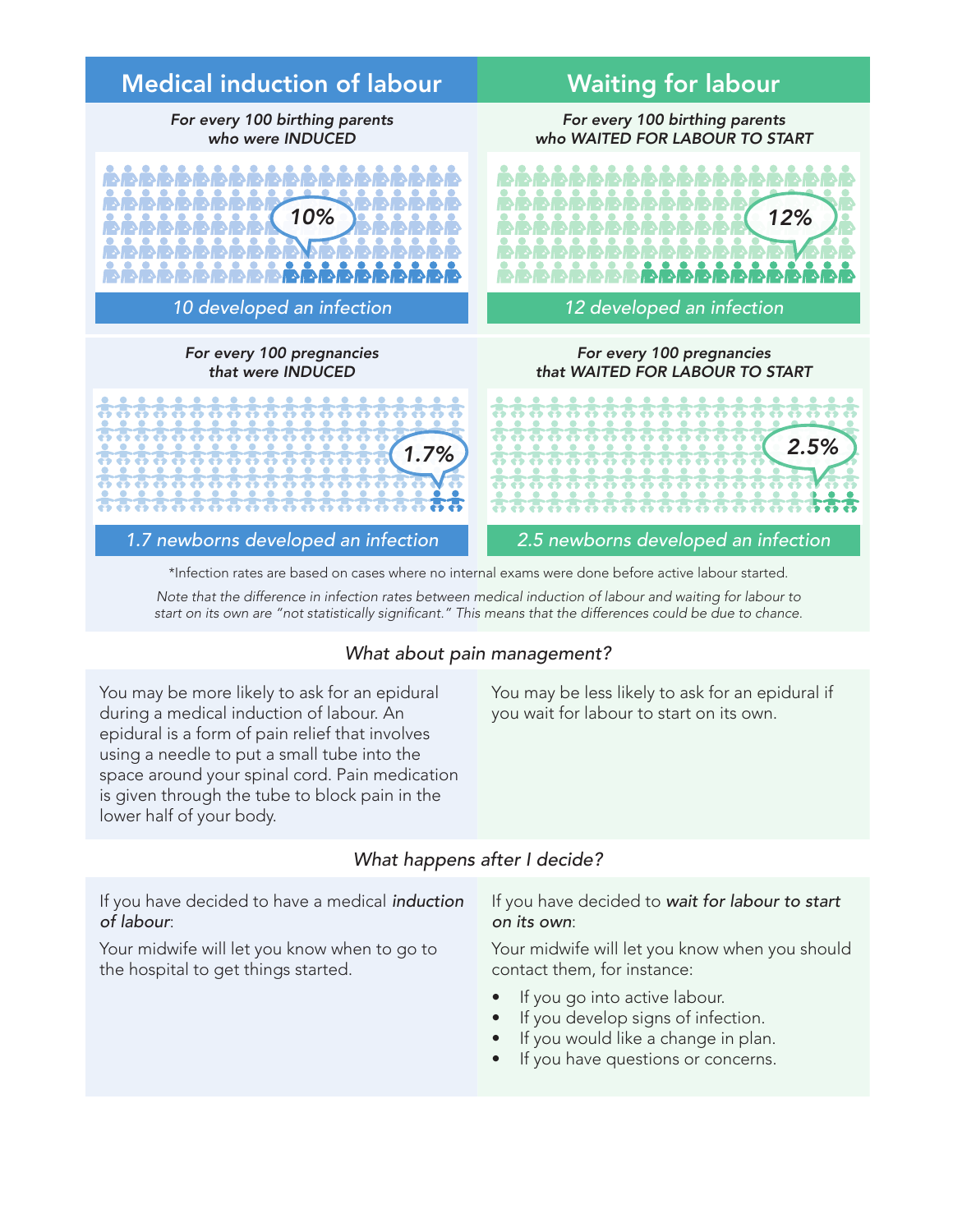

*Note that the difference in infection rates between medical induction of labour and waiting for labour to* 

start on its own are "not statistically significant." This means that the differences could be due to chance.

#### *What about pain management?*

You may be more likely to ask for an epidural during a medical induction of labour. An epidural is a form of pain relief that involves using a needle to put a small tube into the space around your spinal cord. Pain medication is given through the tube to block pain in the lower half of your body.

#### You may be less likely to ask for an epidural if you wait for labour to start on its own.

#### *What happens after I decide?*

If you have decided to have a medical *induction of labour*:

Your midwife will let you know when to go to the hospital to get things started.

#### If you have decided to *wait for labour to start on its own*:

Your midwife will let you know when you should contact them, for instance:

- If you go into active labour.
- If you develop signs of infection.
- If you would like a change in plan.
- If you have questions or concerns.